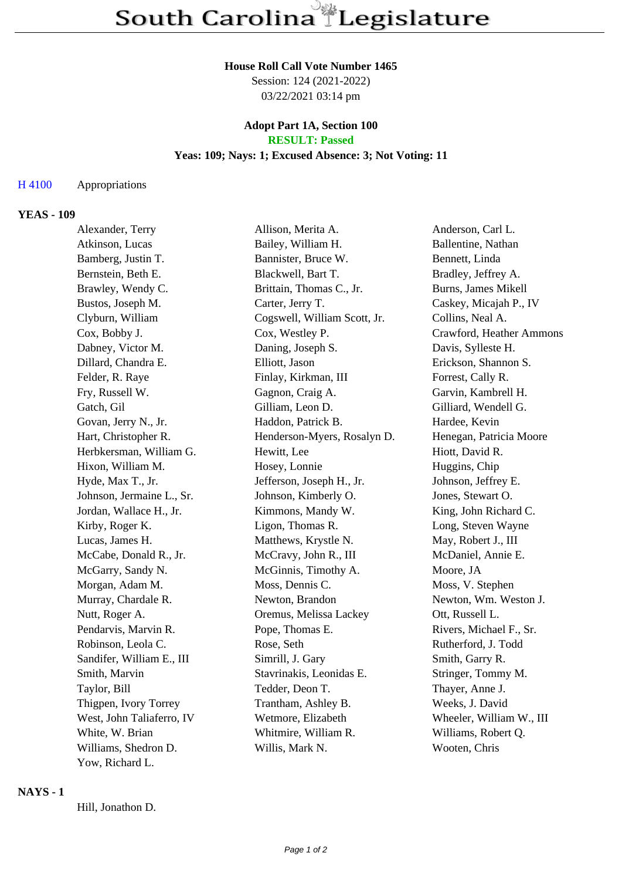#### **House Roll Call Vote Number 1465**

Session: 124 (2021-2022) 03/22/2021 03:14 pm

### **Adopt Part 1A, Section 100 RESULT: Passed**

# **Yeas: 109; Nays: 1; Excused Absence: 3; Not Voting: 11**

### H 4100 Appropriations

#### **YEAS - 109**

| Alexander, Terry          | Allison, Merita A.           | Anderson, Carl L.        |
|---------------------------|------------------------------|--------------------------|
| Atkinson, Lucas           | Bailey, William H.           | Ballentine, Nathan       |
| Bamberg, Justin T.        | Bannister, Bruce W.          | Bennett, Linda           |
| Bernstein, Beth E.        | Blackwell, Bart T.           | Bradley, Jeffrey A.      |
| Brawley, Wendy C.         | Brittain, Thomas C., Jr.     | Burns, James Mikell      |
| Bustos, Joseph M.         | Carter, Jerry T.             | Caskey, Micajah P., IV   |
| Clyburn, William          | Cogswell, William Scott, Jr. | Collins, Neal A.         |
| Cox, Bobby J.             | Cox, Westley P.              | Crawford, Heather Ammons |
| Dabney, Victor M.         | Daning, Joseph S.            | Davis, Sylleste H.       |
| Dillard, Chandra E.       | Elliott, Jason               | Erickson, Shannon S.     |
| Felder, R. Raye           | Finlay, Kirkman, III         | Forrest, Cally R.        |
| Fry, Russell W.           | Gagnon, Craig A.             | Garvin, Kambrell H.      |
| Gatch, Gil                | Gilliam, Leon D.             | Gilliard, Wendell G.     |
| Govan, Jerry N., Jr.      | Haddon, Patrick B.           | Hardee, Kevin            |
| Hart, Christopher R.      | Henderson-Myers, Rosalyn D.  | Henegan, Patricia Moore  |
| Herbkersman, William G.   | Hewitt, Lee                  | Hiott, David R.          |
| Hixon, William M.         | Hosey, Lonnie                | Huggins, Chip            |
| Hyde, Max T., Jr.         | Jefferson, Joseph H., Jr.    | Johnson, Jeffrey E.      |
| Johnson, Jermaine L., Sr. | Johnson, Kimberly O.         | Jones, Stewart O.        |
| Jordan, Wallace H., Jr.   | Kimmons, Mandy W.            | King, John Richard C.    |
| Kirby, Roger K.           | Ligon, Thomas R.             | Long, Steven Wayne       |
| Lucas, James H.           | Matthews, Krystle N.         | May, Robert J., III      |
| McCabe, Donald R., Jr.    | McCravy, John R., III        | McDaniel, Annie E.       |
| McGarry, Sandy N.         | McGinnis, Timothy A.         | Moore, JA                |
| Morgan, Adam M.           | Moss, Dennis C.              | Moss, V. Stephen         |
| Murray, Chardale R.       | Newton, Brandon              | Newton, Wm. Weston J.    |
| Nutt, Roger A.            | Oremus, Melissa Lackey       | Ott, Russell L.          |
| Pendarvis, Marvin R.      | Pope, Thomas E.              | Rivers, Michael F., Sr.  |
| Robinson, Leola C.        | Rose, Seth                   | Rutherford, J. Todd      |
| Sandifer, William E., III | Simrill, J. Gary             | Smith, Garry R.          |
| Smith, Marvin             | Stavrinakis, Leonidas E.     | Stringer, Tommy M.       |
| Taylor, Bill              | Tedder, Deon T.              | Thayer, Anne J.          |
| Thigpen, Ivory Torrey     | Trantham, Ashley B.          | Weeks, J. David          |
| West, John Taliaferro, IV | Wetmore, Elizabeth           | Wheeler, William W., III |
| White, W. Brian           | Whitmire, William R.         | Williams, Robert Q.      |
| Williams, Shedron D.      | Willis, Mark N.              | Wooten, Chris            |
| Yow, Richard L.           |                              |                          |

#### **NAYS - 1**

Hill, Jonathon D.